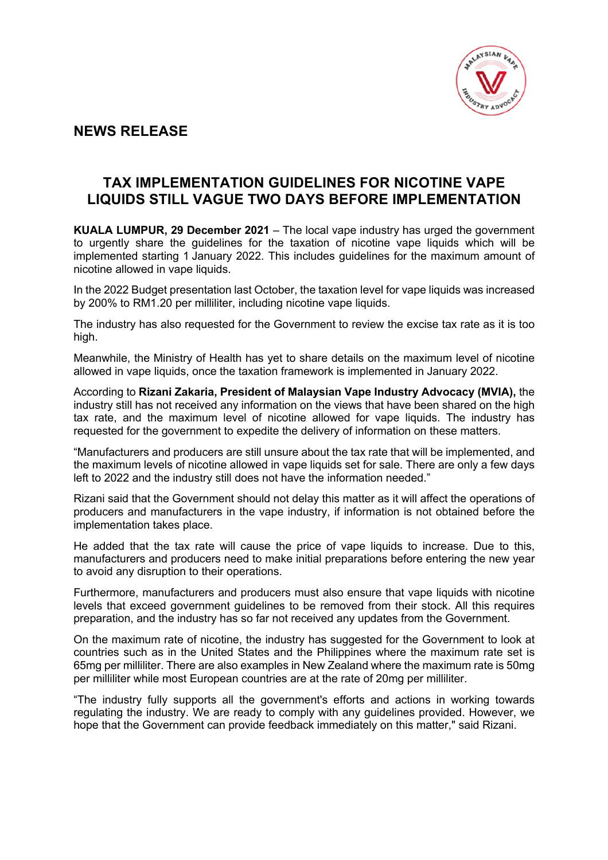

## **NEWS RELEASE**

## **TAX IMPLEMENTATION GUIDELINES FOR NICOTINE VAPE LIQUIDS STILL VAGUE TWO DAYS BEFORE IMPLEMENTATION**

**KUALA LUMPUR, 29 December 2021** – The local vape industry has urged the government to urgently share the guidelines for the taxation of nicotine vape liquids which will be implemented starting 1 January 2022. This includes guidelines for the maximum amount of nicotine allowed in vape liquids.

In the 2022 Budget presentation last October, the taxation level for vape liquids was increased by 200% to RM1.20 per milliliter, including nicotine vape liquids.

The industry has also requested for the Government to review the excise tax rate as it is too high.

Meanwhile, the Ministry of Health has yet to share details on the maximum level of nicotine allowed in vape liquids, once the taxation framework is implemented in January 2022.

According to **Rizani Zakaria, President of Malaysian Vape Industry Advocacy (MVIA),** the industry still has not received any information on the views that have been shared on the high tax rate, and the maximum level of nicotine allowed for vape liquids. The industry has requested for the government to expedite the delivery of information on these matters.

"Manufacturers and producers are still unsure about the tax rate that will be implemented, and the maximum levels of nicotine allowed in vape liquids set for sale. There are only a few days left to 2022 and the industry still does not have the information needed."

Rizani said that the Government should not delay this matter as it will affect the operations of producers and manufacturers in the vape industry, if information is not obtained before the implementation takes place.

He added that the tax rate will cause the price of vape liquids to increase. Due to this, manufacturers and producers need to make initial preparations before entering the new year to avoid any disruption to their operations.

Furthermore, manufacturers and producers must also ensure that vape liquids with nicotine levels that exceed government guidelines to be removed from their stock. All this requires preparation, and the industry has so far not received any updates from the Government.

On the maximum rate of nicotine, the industry has suggested for the Government to look at countries such as in the United States and the Philippines where the maximum rate set is 65mg per milliliter. There are also examples in New Zealand where the maximum rate is 50mg per milliliter while most European countries are at the rate of 20mg per milliliter.

"The industry fully supports all the government's efforts and actions in working towards regulating the industry. We are ready to comply with any guidelines provided. However, we hope that the Government can provide feedback immediately on this matter," said Rizani.